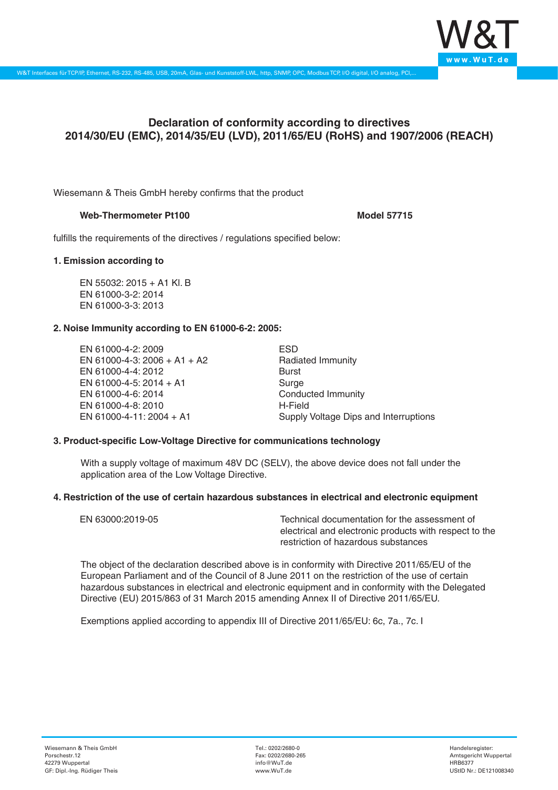

# **Declaration of conformity according to directives 2014/30/EU (EMC), 2014/35/EU (LVD), 2011/65/EU (RoHS) and 1907/2006 (REACH)**

Wiesemann & Theis GmbH hereby confirms that the product

## Web-Thermometer Pt100 **Model 57715** Model 57715

fulfills the requirements of the directives / regulations specified below:

## **1. Emission according to**

EN 55032: 2015 + A1 Kl. B EN 61000-3-2: 2014 EN 61000-3-3: 2013

## **2. Noise Immunity according to EN 61000-6-2: 2005:**

EN 61000-4-2: 2009 EN 61000-4-3: 2006 + A1 + A2 EN 61000-4-4: 2012 EN 61000-4-5: 2014 + A1 EN 61000-4-6: 2014 EN 61000-4-8: 2010 EN 61000-4-11: 2004 + A1

ESD Radiated Immunity Burst Surge Conducted Immunity H-Field Supply Voltage Dips and Interruptions

### **3. Product-specific Low-Voltage Directive for communications technology**

With a supply voltage of maximum 48V DC (SELV), the above device does not fall under the application area of the Low Voltage Directive.

### **4. Restriction of the use of certain hazardous substances in electrical and electronic equipment**

| EN 63000:2019-05 | Technical documentation for the assessment of          |
|------------------|--------------------------------------------------------|
|                  | electrical and electronic products with respect to the |
|                  | restriction of hazardous substances                    |

The object of the declaration described above is in conformity with Directive 2011/65/EU of the European Parliament and of the Council of 8 June 2011 on the restriction of the use of certain hazardous substances in electrical and electronic equipment and in conformity with the Delegated Directive (EU) 2015/863 of 31 March 2015 amending Annex II of Directive 2011/65/EU.

Exemptions applied according to appendix III of Directive 2011/65/EU: 6c, 7a., 7c. I